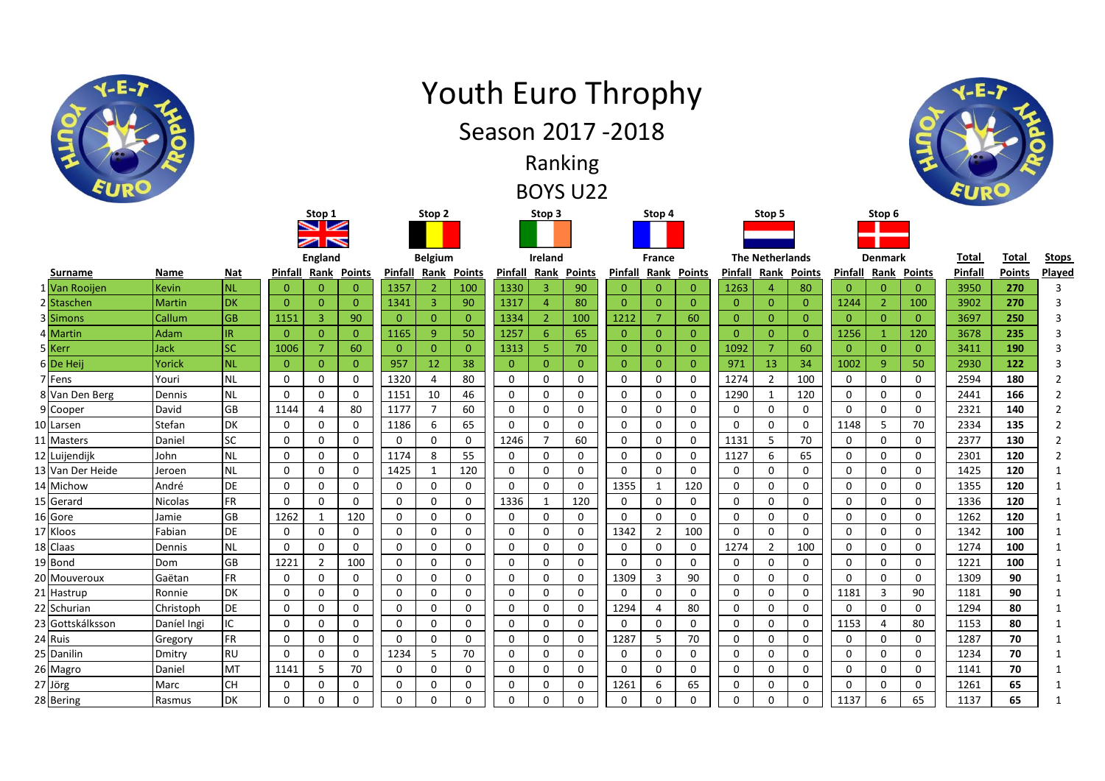|         |                  |                | <b>Youth Euro Throphy</b><br>Season 2017 - 2018<br>Ranking<br><b>BOYS U22</b> |                |                                      |                    |                   |                         |                |                |                |               |                |                |                |                        |                |                |              |                |                |         |               |                |
|---------|------------------|----------------|-------------------------------------------------------------------------------|----------------|--------------------------------------|--------------------|-------------------|-------------------------|----------------|----------------|----------------|---------------|----------------|----------------|----------------|------------------------|----------------|----------------|--------------|----------------|----------------|---------|---------------|----------------|
|         |                  |                |                                                                               |                | Stop 1<br>$\blacktriangleright$<br>N |                    | Stop <sub>2</sub> |                         |                | Stop 3         |                |               | Stop 4         |                |                | Stop 5                 |                |                |              | Stop 6         |                |         |               |                |
|         |                  |                |                                                                               | <b>England</b> |                                      |                    | <b>Belgium</b>    |                         |                | Ireland        |                |               | <b>France</b>  |                |                | <b>The Netherlands</b> |                |                |              | <b>Denmark</b> |                | Total   | Total         | <b>Stops</b>   |
|         | Surname          | Name           | <b>Nat</b>                                                                    | Pinfall        |                                      | <b>Rank Points</b> | Pinfall           | Rank                    | <b>Points</b>  | Pinfall        | Rank           | <b>Points</b> | Pinfall Rank   |                | <b>Points</b>  | Pinfall                | Rank           | <b>Points</b>  | Pinfall      | Rank           | <b>Points</b>  | Pinfall | <b>Points</b> | Played         |
|         | 1 Van Rooijen    | <b>Kevin</b>   | <b>NL</b>                                                                     | $\mathbf{0}$   | $\mathbf{0}$                         | $\overline{0}$     | 1357              | $\overline{2}$          | 100            | 1330           | 3              | 90            | $\mathbf{0}$   | $\mathbf{0}$   | $\mathbf{0}$   | 1263                   | 4              | 80             | $\mathbf{0}$ | $\mathbf{0}$   | $\mathbf{0}$   | 3950    | 270           | 3              |
|         | 2 Staschen       | Martin         | <b>DK</b>                                                                     | $\mathbf{0}$   | $\mathbf{0}$                         | $\mathbf{0}$       | 1341              | $\overline{\mathbf{3}}$ | 90             | 1317           | $\overline{4}$ | 80            | $\overline{0}$ | $\mathbf{0}$   | $\overline{0}$ | $\mathbf{0}$           | $\overline{0}$ | $\overline{0}$ | 1244         | $\overline{2}$ | 100            | 3902    | 270           | $\mathsf 3$    |
|         | 3 Simons         | Callum         | <b>GB</b>                                                                     | 1151           | $\overline{3}$                       | 90                 | $\overline{0}$    | $\mathbf{0}$            | $\overline{0}$ | 1334           | $\overline{2}$ | 100           | 1212           | $\overline{7}$ | 60             | $\overline{0}$         | $\Omega$       | $\Omega$       | $\Omega$     | $\Omega$       | $\mathbf{0}$   | 3697    | 250           | 3              |
|         | 4 Martin         | Adam           | IR.                                                                           | $\mathbf{0}$   | $\mathbf{0}$                         | $\overline{0}$     | 1165              | $\overline{9}$          | 50             | 1257           | 6              | 65            | $\overline{0}$ | $\overline{0}$ | $\overline{0}$ | $\mathbf{0}$           | $\overline{0}$ | $\overline{0}$ | 1256         | $\mathbf{1}$   | 120            | 3678    | 235           | $\overline{3}$ |
|         | 5 Kerr           | <b>Jack</b>    | <b>SC</b>                                                                     | 1006           | 7                                    | 60                 | $\overline{0}$    | $\overline{0}$          | $\overline{0}$ | 1313           | 5              | 70            | $\overline{0}$ | $\overline{0}$ | $\overline{0}$ | 1092                   | $\overline{7}$ | 60             | $\mathbf{0}$ | $\overline{0}$ | $\overline{0}$ | 3411    | 190           | 3              |
|         | 6 De Hei         | Yorick         | <b>NL</b>                                                                     | $\overline{0}$ | $\mathbf{0}$                         | $\mathbf{0}$       | 957               | 12                      | 38             | $\overline{0}$ | $\Omega$       | $\mathbf{0}$  | $\mathbf{0}$   | $\overline{0}$ | $\overline{0}$ | 971                    | 13             | 34             | 1002         | $\overline{9}$ | 50             | 2930    | 122           | 3              |
|         | 7 Fens           | Youri          | <b>NL</b>                                                                     | $\mathbf 0$    | $\mathbf 0$                          | $\mathbf 0$        | 1320              | $\overline{4}$          | 80             | $\mathbf{0}$   | 0              | $\Omega$      | 0              | $\mathbf 0$    | $\mathbf 0$    | 1274                   | $\overline{2}$ | 100            | 0            | 0              | 0              | 2594    | 180           | $\overline{2}$ |
|         | 8 Van Den Berg   | Dennis         | <b>NL</b>                                                                     | $\mathbf 0$    | $\mathbf 0$                          | $\mathbf 0$        | 1151              | 10                      | 46             | $\mathbf 0$    | $\Omega$       | $\Omega$      | $\mathbf 0$    | $\mathbf 0$    | $\mathbf 0$    | 1290                   | $\mathbf{1}$   | 120            | $\mathbf 0$  | $\mathbf 0$    | $\mathbf 0$    | 2441    | 166           | $\overline{2}$ |
|         | 9 Cooper         | David          | GB                                                                            | 1144           | $\overline{4}$                       | 80                 | 1177              | $\overline{7}$          | 60             | 0              | $\Omega$       | $\Omega$      | 0              | $\mathbf 0$    | $\mathbf 0$    | $\mathbf 0$            | $\mathbf 0$    | $\mathbf 0$    | $\Omega$     | 0              | $\mathbf 0$    | 2321    | 140           | $\overline{2}$ |
|         | 10 Larsen        | Stefan         | <b>DK</b>                                                                     | $\mathbf 0$    | $\mathbf 0$                          | $\mathbf 0$        | 1186              | 6                       | 65             | $\Omega$       | $\Omega$       | $\mathbf{0}$  | $\Omega$       | $\mathbf 0$    | $\mathbf{0}$   | $\Omega$               | $\Omega$       | $\mathbf 0$    | 1148         | 5              | 70             | 2334    | 135           | $\overline{2}$ |
|         | 11 Masters       | Danie          | SC                                                                            | 0              | 0                                    | $\mathbf 0$        | 0                 | 0                       | 0              | 1246           | $\overline{7}$ | 60            | 0              | 0              | 0              | 1131                   | 5              | 70             | 0            | 0              | 0              | 2377    | 130           | $\overline{2}$ |
|         | 12 Luijendijk    | John           | <b>NL</b>                                                                     | $\mathbf 0$    | 0                                    | $\mathbf 0$        | 1174              | 8                       | 55             | 0              | 0              | $\mathbf 0$   | $\mathbf 0$    | $\mathbf 0$    | $\mathbf 0$    | 1127                   | 6              | 65             | 0            | 0              | $\mathbf 0$    | 2301    | 120           | $\overline{2}$ |
|         | 13 Van Der Heide | Jeroen         | <b>NL</b>                                                                     | $\mathbf 0$    | 0                                    | $\mathbf 0$        | 1425              | 1                       | 120            | $\mathbf 0$    | 0              | $\mathbf 0$   | $\mathbf 0$    | $\mathbf 0$    | $\mathbf 0$    | 0                      | 0              | 0              | $\Omega$     | 0              | $\mathbf 0$    | 1425    | 120           | 1              |
|         | 14 Michow        | André          | DE                                                                            | $\mathbf 0$    | 0                                    | $\mathbf 0$        | $\mathbf 0$       | $\mathbf 0$             | $\mathbf 0$    | $\mathbf 0$    | $\mathbf 0$    | $\mathbf 0$   | 1355           | 1              | 120            | 0                      | $\Omega$       | $\mathbf 0$    | 0            | $\mathbf 0$    | $\mathbf 0$    | 1355    | 120           | 1              |
|         | 15 Gerard        | <b>Nicolas</b> | <b>FR</b>                                                                     | $\mathbf 0$    | $\mathbf 0$                          | $\mathbf 0$        | $\mathbf 0$       | $\mathbf 0$             | $\mathbf 0$    | 1336           | $\mathbf{1}$   | 120           | 0              | $\mathbf 0$    | $\mathbf 0$    | 0                      | 0              | 0              | $\mathbf 0$  | $\mathbf 0$    | $\mathbf 0$    | 1336    | 120           | 1              |
|         | 16 Gore          | Jamie          | GB                                                                            | 1262           | $\mathbf{1}$                         | 120                | $\mathbf 0$       | 0                       | $\mathbf 0$    | $\Omega$       | $\Omega$       | $\Omega$      | $\mathbf{0}$   | $\mathbf 0$    | $\Omega$       | $\Omega$               | $\Omega$       | $\Omega$       | 0            | 0              | $\mathbf 0$    | 1262    | 120           | 1              |
|         | 17 Kloos         | Fabian         | DE                                                                            | $\mathbf 0$    | 0                                    | $\mathbf 0$        | $\mathbf 0$       | 0                       | $\mathbf 0$    | $\mathbf 0$    | $\Omega$       | $\Omega$      | 1342           | $\overline{2}$ | 100            | 0                      | 0              | $\mathbf{0}$   | $\mathbf{0}$ | 0              | 0              | 1342    | 100           | 1              |
|         | 18 Claas         | Dennis         | <b>NL</b>                                                                     | $\mathbf 0$    | $\mathbf 0$                          | $\mathbf 0$        | $\mathbf 0$       | $\mathbf 0$             | $\mathbf 0$    | $\Omega$       | $\Omega$       | $\Omega$      | $\mathbf 0$    | $\mathbf 0$    | $\mathbf 0$    | 1274                   | $\overline{2}$ | 100            | $\mathbf 0$  | $\mathbf 0$    | 0              | 1274    | 100           | 1              |
|         | 19 Bond          | <b>Dom</b>     | GB                                                                            | 1221           | $\overline{2}$                       | 100                | $\mathbf 0$       | $\mathbf 0$             | $\Omega$       | $\Omega$       | $\Omega$       | $\mathbf{0}$  | $\mathbf 0$    | $\mathbf 0$    | $\Omega$       | $\Omega$               | $\mathbf 0$    | $\Omega$       | $\mathbf 0$  | $\mathbf 0$    | $\mathbf 0$    | 1221    | 100           | 1              |
|         | 20 Mouveroux     | Gaëtan         | <b>FR</b>                                                                     | 0              | $\mathbf 0$                          | $\mathbf 0$        | $\mathbf 0$       | $\mathbf 0$             | $\mathbf 0$    | 0              | 0              | $\mathbf 0$   | 1309           | 3              | 90             | 0                      | $\mathbf 0$    | $\mathbf 0$    | 0            | 0              | $\mathbf 0$    | 1309    | 90            | 1              |
|         | 21 Hastrup       | Ronnie         | <b>DK</b>                                                                     | $\mathbf 0$    | $\mathbf 0$                          | $\mathbf 0$        | 0                 | 0                       | $\mathbf 0$    | $\mathbf 0$    | 0              | $\mathbf 0$   | $\mathbf 0$    | $\mathbf 0$    | $\mathbf 0$    | $\mathbf 0$            | 0              | $\mathbf 0$    | 1181         | 3              | 90             | 1181    | 90            | 1              |
|         | 22 Schurian      | Christoph      | DE                                                                            | $\mathbf 0$    | 0                                    | $\mathbf 0$        | $\mathbf 0$       | 0                       | $\mathbf 0$    | $\Omega$       | $\Omega$       | $\mathbf{0}$  | 1294           | 4              | 80             | 0                      | 0              | $\mathbf 0$    | $\Omega$     | 0              | $\mathbf 0$    | 1294    | 80            | 1              |
|         | 23 Gottskálksson | Daniel Ingi    | IC                                                                            | $\mathbf 0$    | $\mathbf 0$                          | $\mathbf 0$        | $\mathbf 0$       | $\mathbf 0$             | $\mathbf 0$    | $\Omega$       | 0              | $\mathbf 0$   | 0              | $\mathbf 0$    | $\mathbf 0$    | $\Omega$               | $\Omega$       | $\mathbf 0$    | 1153         | $\overline{4}$ | 80             | 1153    | 80            | 1              |
| 24 Ruis |                  | Gregory        | <b>FR</b>                                                                     | $\mathbf 0$    | $\mathbf 0$                          | $\mathbf 0$        | $\mathbf 0$       | $\mathbf 0$             | $\mathbf 0$    | 0              | 0              | $\mathbf 0$   | 1287           | 5              | 70             | 0                      | 0              | 0              | $\mathbf 0$  | $\mathbf 0$    | $\mathbf 0$    | 1287    | 70            | 1              |
|         | 25 Danilin       | Dmitry         | <b>RU</b>                                                                     | $\Omega$       | $\Omega$                             | $\mathbf{0}$       | 1234              | 5                       | 70             | $\Omega$       | $\Omega$       | $\Omega$      | $\Omega$       | 0              | $\Omega$       | $\Omega$               | $\Omega$       | $\Omega$       | $\Omega$     | $\Omega$       | $\Omega$       | 1234    | 70            | 1              |
|         | 26 Magro         | Daniel         | MT                                                                            | 1141           | 5                                    | 70                 | $\mathbf 0$       | 0                       | $\mathbf 0$    | $\mathbf{0}$   | $\Omega$       | $\Omega$      | 0              | 0              | 0              | $\mathbf{0}$           | 0              | 0              | $\Omega$     | 0              | 0              | 1141    | 70            | 1              |
| 27 Jörg |                  | Marc           | <b>CH</b>                                                                     | $\mathbf 0$    | $\mathbf 0$                          | $\mathbf 0$        | $\mathbf 0$       | 0                       | $\mathbf 0$    | 0              | 0              | $\mathbf 0$   | 1261           | 6              | 65             | 0                      | $\Omega$       | $\mathbf 0$    | $\mathbf 0$  | 0              | $\mathbf 0$    | 1261    | 65            | 1              |
|         | 28 Bering        | Rasmus         | DK                                                                            | $\mathbf 0$    | $\mathbf 0$                          | $\mathbf 0$        | $\mathbf 0$       | 0                       | $\mathbf 0$    | 0              | $\Omega$       | $\Omega$      | $\mathbf 0$    | $\mathbf 0$    | $\mathbf 0$    | 0                      | 0              | 0              | 1137         | 6              | 65             | 1137    | 65            | 1              |